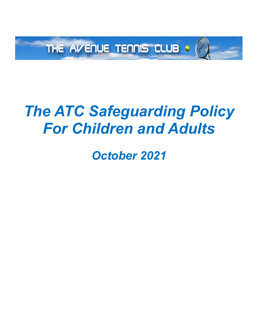

# *The ATC Safeguarding Policy For Children and Adults*

*October 2021*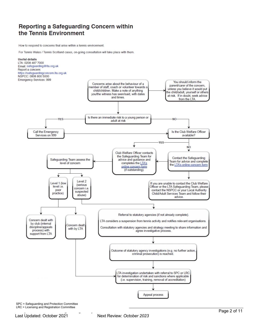### Reporting a Safeguarding Concern within the Tennis Environment

How to respond to concerns that arise within a tennis environment.

For Tennis Wales / Tennis Scotland cases, on-going consultation will take place with them.



SPC = Safeguarding and Protection Committee LRC = Licensing and Registration Committee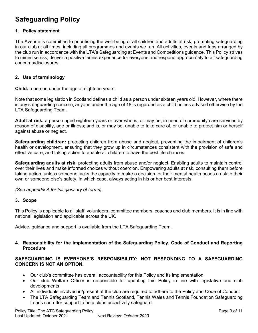## **Safeguarding Policy**

#### **1. Policy statement**

The Avenue is committed to prioritising the well-being of all children and adults at risk, promoting safeguarding in our club at all times, including all programmes and events we run. All activities, events and trips arranged by the club run in accordance with the LTA's Safeguarding at Events and Competitions guidance. This Policy strives to minimise risk, deliver a positive tennis experience for everyone and respond appropriately to all safeguarding concerns/disclosures.

#### **2. Use of terminology**

**Child:** a person under the age of eighteen years.

Note that some legislation in Scotland defines a child as a person under sixteen years old. However, where there is any safeguarding concern, anyone under the age of 18 is regarded as a child unless advised otherwise by the LTA Safeguarding Team.

**Adult at risk:** a person aged eighteen years or over who is, or may be, in need of community care services by reason of disability, age or illness; and is, or may be, unable to take care of, or unable to protect him or herself against abuse or neglect.

**Safeguarding children:** protecting children from abuse and neglect, preventing the impairment of children's health or development, ensuring that they grow up in circumstances consistent with the provision of safe and effective care, and taking action to enable all children to have the best life chances.

**Safeguarding adults at risk:** protecting adults from abuse and/or neglect. Enabling adults to maintain control over their lives and make informed choices without coercion. Empowering adults at risk, consulting them before taking action, unless someone lacks the capacity to make a decision, or their mental health poses a risk to their own or someone else's safety, in which case, always acting in his or her best interests.

*(See appendix A for full glossary of terms)*.

#### **3. Scope**

This Policy is applicable to all staff, volunteers, committee members, coaches and club members. It is in line with national legislation and applicable across the UK.

Advice, guidance and support is available from the LTA Safeguarding Team.

#### **4. Responsibility for the implementation of the Safeguarding Policy, Code of Conduct and Reporting Procedure**

#### **SAFEGUARDING IS EVERYONE'S RESPONSIBILITY: NOT RESPONDING TO A SAFEGUARDING CONCERN IS NOT AN OPTION.**

- Our club's committee has overall accountability for this Policy and its implementation
- Our club Welfare Officer is responsible for updating this Policy in line with legislative and club developments
- All individuals involved in/present at the club are required to adhere to the Policy and Code of Conduct
- The LTA Safeguarding Team and Tennis Scotland, Tennis Wales and Tennis Foundation Safeguarding Leads can offer support to help clubs proactively safeguard.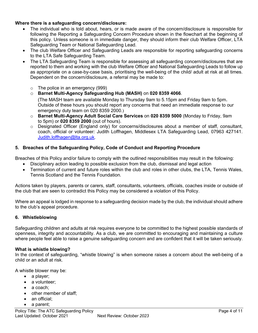#### **Where there is a safeguarding concern/disclosure:**

- The individual who is told about, hears, or is made aware of the concern/disclosure is responsible for following the Reporting a Safeguarding Concern Procedure shown in the flowchart at the beginning of this policy. Unless someone is in immediate danger, they should inform their club Welfare Officer, LTA Safeguarding Team or National Safeguarding Lead.
- The club Welfare Officer and Safeguarding Leads are responsible for reporting safeguarding concerns to the LTA Safe Safeguarding Team.
- The LTA Safeguarding Team is responsible for assessing all safeguarding concern/disclosures that are reported to them and working with the club Welfare Officer and National Safeguarding Leads to follow up as appropriate on a case-by-case basis, prioritising the well-being of the child/ adult at risk at all times. Dependent on the concern/disclosure, a referral may be made to:
	- o The police in an emergency (999)
	- o **Barnet Multi-Agency Safeguarding Hub (MASH)** on **020 8359 4066**.

(The MASH team are available Monday to Thursday 9am to 5.15pm and Friday 9am to 5pm. Outside of these hours you should report any concerns that need an immediate response to our emergency duty team on 020 8359 2000.)

- o **Barnet Multi-Agency Adult Social Care Services** on **020 8359 5000** (Monday to Friday, 9am to 5pm) or **020 8359 2000** (out of hours).
- $\circ$  Designated Officer (England only) for concerns/disclosures about a member of staff, consultant, coach, official or volunteer*:* Judith Loffhagen, Middlesex LTA Safeguarding Lead, 07963 427141. Judith.loffhagen@lta.org.uk.

#### **5. Breaches of the Safeguarding Policy, Code of Conduct and Reporting Procedure**

Breaches of this Policy and/or failure to comply with the outlined responsibilities may result in the following:

- Disciplinary action leading to possible exclusion from the club, dismissal and legal action
- Termination of current and future roles within the club and roles in other clubs, the LTA, Tennis Wales, Tennis Scotland and the Tennis Foundation*.*

Actions taken by players, parents or carers, staff, consultants, volunteers, officials, coaches inside or outside of the club that are seen to contradict this Policy may be considered a violation of this Policy.

Where an appeal is lodged in response to a safeguarding decision made by the club, the individual should adhere to the club's appeal procedure.

#### **6. Whistleblowing**

Safeguarding children and adults at risk requires everyone to be committed to the highest possible standards of openness, integrity and accountability. As a club, we are committed to encouraging and maintaining a culture where people feel able to raise a genuine safeguarding concern and are confident that it will be taken seriously.

#### **What is whistle blowing?**

In the context of safeguarding, "whistle blowing" is when someone raises a concern about the well-being of a child or an adult at risk.

A whistle blower may be:

- a player;
- a volunteer:
- a coach:
- other member of staff;
- an official;
- a parent;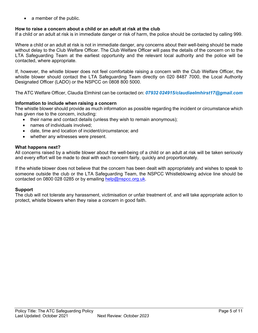• a member of the public.

#### **How to raise a concern about a child or an adult at risk at the club**

If a child or an adult at risk is in immediate danger or risk of harm, the police should be contacted by calling 999.

Where a child or an adult at risk is not in immediate danger, any concerns about their well-being should be made without delay to the Club Welfare Officer. The Club Welfare Officer will pass the details of the concern on to the LTA Safeguarding Team at the earliest opportunity and the relevant local authority and the police will be contacted, where appropriate.

If, however, the whistle blower does not feel comfortable raising a concern with the Club Welfare Officer, the whistle blower should contact the LTA Safeguarding Team directly on 020 8487 7000, the Local Authority Designated Officer (LADO) or the NSPCC on 0808 800 5000.

The ATC Welfare Officer, Claudia Elmhirst can be contacted on: *07932 024915/claudiaelmhirst17@gmail.com*

#### **Information to include when raising a concern**

The whistle blower should provide as much information as possible regarding the incident or circumstance which has given rise to the concern, including:

- their name and contact details (unless they wish to remain anonymous);
- names of individuals involved;
- date, time and location of incident/circumstance; and
- whether any witnesses were present.

#### **What happens next?**

All concerns raised by a whistle blower about the well-being of a child or an adult at risk will be taken seriously and every effort will be made to deal with each concern fairly, quickly and proportionately.

If the whistle blower does not believe that the concern has been dealt with appropriately and wishes to speak to someone outside the club or the LTA Safeguarding Team, the NSPCC Whistleblowing advice line should be contacted on 0800 028 0285 or by emailing help@nspcc.org.uk.

#### **Support**

The club will not tolerate any harassment, victimisation or unfair treatment of, and will take appropriate action to protect, whistle blowers when they raise a concern in good faith.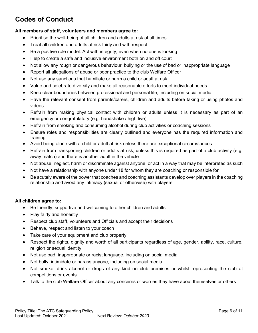# **Codes of Conduct**

#### **All members of staff, volunteers and members agree to:**

- Prioritise the well-being of all children and adults at risk at all times
- Treat all children and adults at risk fairly and with respect
- Be a positive role model. Act with integrity, even when no one is looking
- Help to create a safe and inclusive environment both on and off court
- Not allow any rough or dangerous behaviour, bullying or the use of bad or inappropriate language
- Report all allegations of abuse or poor practice to the club Welfare Officer
- Not use any sanctions that humiliate or harm a child or adult at risk
- Value and celebrate diversity and make all reasonable efforts to meet individual needs
- Keep clear boundaries between professional and personal life, including on social media
- Have the relevant consent from parents/carers, children and adults before taking or using photos and videos
- Refrain from making physical contact with children or adults unless it is necessary as part of an emergency or congratulatory (e.g. handshake / high five)
- Refrain from smoking and consuming alcohol during club activities or coaching sessions
- Ensure roles and responsibilities are clearly outlined and everyone has the required information and training
- Avoid being alone with a child or adult at risk unless there are exceptional circumstances
- Refrain from transporting children or adults at risk, unless this is required as part of a club activity (e.g. away match) and there is another adult in the vehicle
- Not abuse, neglect, harm or discriminate against anyone; or act in a way that may be interpreted as such
- Not have a relationship with anyone under 18 for whom they are coaching or responsible for
- Be acutely aware of the power that coaches and coaching assistants develop over players in the coaching relationship and avoid any intimacy (sexual or otherwise) with players

#### **All children agree to:**

- Be friendly, supportive and welcoming to other children and adults
- Play fairly and honestly
- Respect club staff, volunteers and Officials and accept their decisions
- Behave, respect and listen to your coach
- Take care of your equipment and club property
- Respect the rights, dignity and worth of all participants regardless of age, gender, ability, race, culture, religion or sexual identity
- Not use bad, inappropriate or racist language, including on social media
- Not bully, intimidate or harass anyone, including on social media
- Not smoke, drink alcohol or drugs of any kind on club premises or whilst representing the club at competitions or events
- Talk to the club Welfare Officer about any concerns or worries they have about themselves or others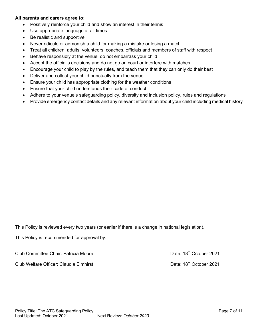#### **All parents and carers agree to:**

- Positively reinforce your child and show an interest in their tennis
- Use appropriate language at all times
- Be realistic and supportive
- Never ridicule or admonish a child for making a mistake or losing a match
- Treat all children, adults, volunteers, coaches, officials and members of staff with respect
- Behave responsibly at the venue; do not embarrass your child
- Accept the official's decisions and do not go on court or interfere with matches
- Encourage your child to play by the rules, and teach them that they can only do their best
- Deliver and collect your child punctually from the venue
- Ensure your child has appropriate clothing for the weather conditions
- Ensure that your child understands their code of conduct
- Adhere to your venue's safeguarding policy, diversity and inclusion policy, rules and regulations
- Provide emergency contact details and any relevant information about your child including medical history

This Policy is reviewed every two years (or earlier if there is a change in national legislation).

This Policy is recommended for approval by:

Club Committee Chair: Patricia Moore **Date: 18th October 2021** Club Welfare Officer: Claudia Elmhirst Club Club Date: 18<sup>th</sup> October 2021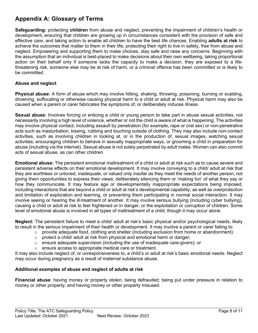## **Appendix A: Glossary of Terms**

**Safeguarding:** protecting **children** from abuse and neglect, preventing the impairment of children's health or development, ensuring that children are growing up in circumstances consistent with the provision of safe and effective care, and taking action to enable all children to have the best life chances. Enabling **adults at risk** to achieve the outcomes that matter to them in their life; protecting their right to live in safety, free from abuse and neglect. Empowering and supporting them to make choices, stay safe and raise any concerns. Beginning with the assumption that an individual is best-placed to make decisions about their own wellbeing, taking proportional action on their behalf only if someone lacks the capacity to make a decision, they are exposed to a lifethreatening risk, someone else may be at risk of harm, or a criminal offence has been committed or is likely to be committed.

#### **Abuse and neglect**

**Physical abuse:** A form of abuse which may involve hitting, shaking, throwing, poisoning, burning or scalding, drowning, suffocating or otherwise causing physical harm to a child or adult at risk. Physical harm may also be caused when a parent or carer fabricates the symptoms of, or deliberately induces illness

**Sexual abuse:** Involves forcing or enticing a child or young person to take part in abuse sexual activities, not necessarily involving a high level of violence, whether or not the child is aware of what is happening. The activities may involve physical contact, including assault by penetration (for example, rape or oral sex) or non-penetrative acts such as masturbation, kissing, rubbing and touching outside of clothing. They may also include non-contact activities, such as involving children in looking at, or in the production of, sexual images, watching sexual activities, encouraging children to behave in sexually inappropriate ways, or grooming a child in preparation for abuse (including via the internet). Sexual abuse is not solely perpetrated by adult males. Women can also commit acts of sexual abuse, as can other children

**Emotional abuse:** The persistent emotional maltreatment of a child or adult at risk such as to cause severe and persistent adverse effects on their emotional development. It may involve conveying to a child/ adult at risk that they are worthless or unloved, inadequate, or valued only insofar as they meet the needs of another person; not giving them opportunities to express their views; deliberately silencing them or 'making fun' of what they say or how they communicate. It may feature age or developmentally inappropriate expectations being imposed, including interactions that are beyond a child or adult at risk's developmental capability, as well as overprotection and limitation of exploration and learning, or preventing them participating in normal social interaction. It may involve seeing or hearing the ill-treatment of another. It may involve serious bullying (including cyber bullying), causing a child or adult at risk to feel frightened or in danger, or the exploitation or corruption of children. Some level of emotional abuse is involved in all types of maltreatment of a child, though it may occur alone.

**Neglect:** The persistent failure to meet a child/ adult at risk's basic physical and/or psychological needs, likely to result in the serious impairment of their health or development. It may involve a parent or carer failing to:

- $\circ$  provide adequate food, clothing and shelter (including exclusion from home or abandonment);
- $\circ$  protect a child/ adult at risk from physical and emotional harm or danger;
- ensure adequate supervision (including the use of inadequate care-givers); or
- o ensure access to appropriate medical care or treatment.

It may also include neglect of, or unresponsiveness to, a child's or adult at risk's basic emotional needs. Neglect may occur during pregnancy as a result of maternal substance abuse.

#### **Additional examples of abuse and neglect of adults at risk**

**Financial abuse**: having money or property stolen; being defrauded; being put under pressure in relation to money or other property; and having money or other property misused.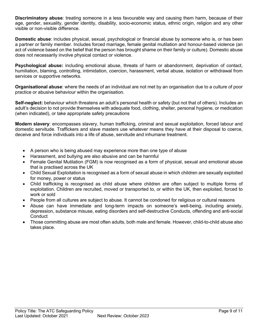**Discriminatory abuse**: treating someone in a less favourable way and causing them harm, because of their age, gender, sexuality, gender identity, disability, socio-economic status, ethnic origin, religion and any other visible or non-visible difference.

**Domestic abuse**: includes physical, sexual, psychological or financial abuse by someone who is, or has been a partner or family member. Includes forced marriage, female genital mutilation and honour-based violence (an act of violence based on the belief that the person has brought shame on their family or culture). Domestic abuse does not necessarily involve physical contact or violence.

**Psychological abuse:** including emotional abuse, threats of harm or abandonment, deprivation of contact, humiliation, blaming, controlling, intimidation, coercion, harassment, verbal abuse, isolation or withdrawal from services or supportive networks.

**Organisational abuse**: where the needs of an individual are not met by an organisation due to a culture of poor practice or abusive behaviour within the organisation.

**Self-neglect:** behaviour which threatens an adult's personal health or safety (but not that of others). Includes an adult's decision to not provide themselves with adequate food, clothing, shelter, personal hygiene, or medication (when indicated), or take appropriate safety precautions

**Modern slavery**: encompasses slavery, human trafficking, criminal and sexual exploitation, forced labour and domestic servitude. Traffickers and slave masters use whatever means they have at their disposal to coerce, deceive and force individuals into a life of abuse, servitude and inhumane treatment.

- A person who is being abused may experience more than one type of abuse
- Harassment, and bullying are also abusive and can be harmful
- Female Genital Mutilation (FGM) is now recognised as a form of physical, sexual and emotional abuse that is practised across the UK
- Child Sexual Exploitation is recognised as a form of sexual abuse in which children are sexually exploited for money, power or status
- Child trafficking is recognised as child abuse where children are often subject to multiple forms of exploitation. Children are recruited, moved or transported to, or within the UK, then exploited, forced to work or sold
- People from all cultures are subject to abuse. It cannot be condoned for religious or cultural reasons
- Abuse can have immediate and long-term impacts on someone's well-being, including anxiety, depression, substance misuse, eating disorders and self-destructive Conducts, offending and anti-social **Conduct**
- Those committing abuse are most often adults, both male and female. However, child-to-child abuse also takes place.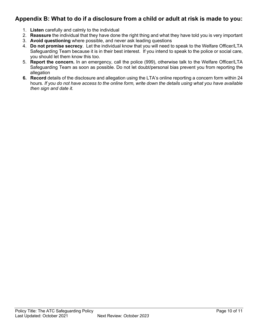## **Appendix B: What to do if a disclosure from a child or adult at risk is made to you:**

- 1. **Listen** carefully and calmly to the individual
- 2. **Reassure** the individual that they have done the right thing and what they have told you is very important
- 3. **Avoid questioning** where possible, and never ask leading questions
- 4. **Do not promise secrecy**. Let the individual know that you will need to speak to the Welfare Officer/LTA Safeguarding Team because it is in their best interest. If you intend to speak to the police or social care, you should let them know this too.
- 5. **Report the concern.** In an emergency, call the police (999), otherwise talk to the Welfare Officer/LTA Safeguarding Team as soon as possible. Do not let doubt/personal bias prevent you from reporting the allegation
- **6. Record** details of the disclosure and allegation using the LTA's online reporting a concern form within 24 hours*. If you do not have access to the online form, write down the details using what you have available then sign and date it.*